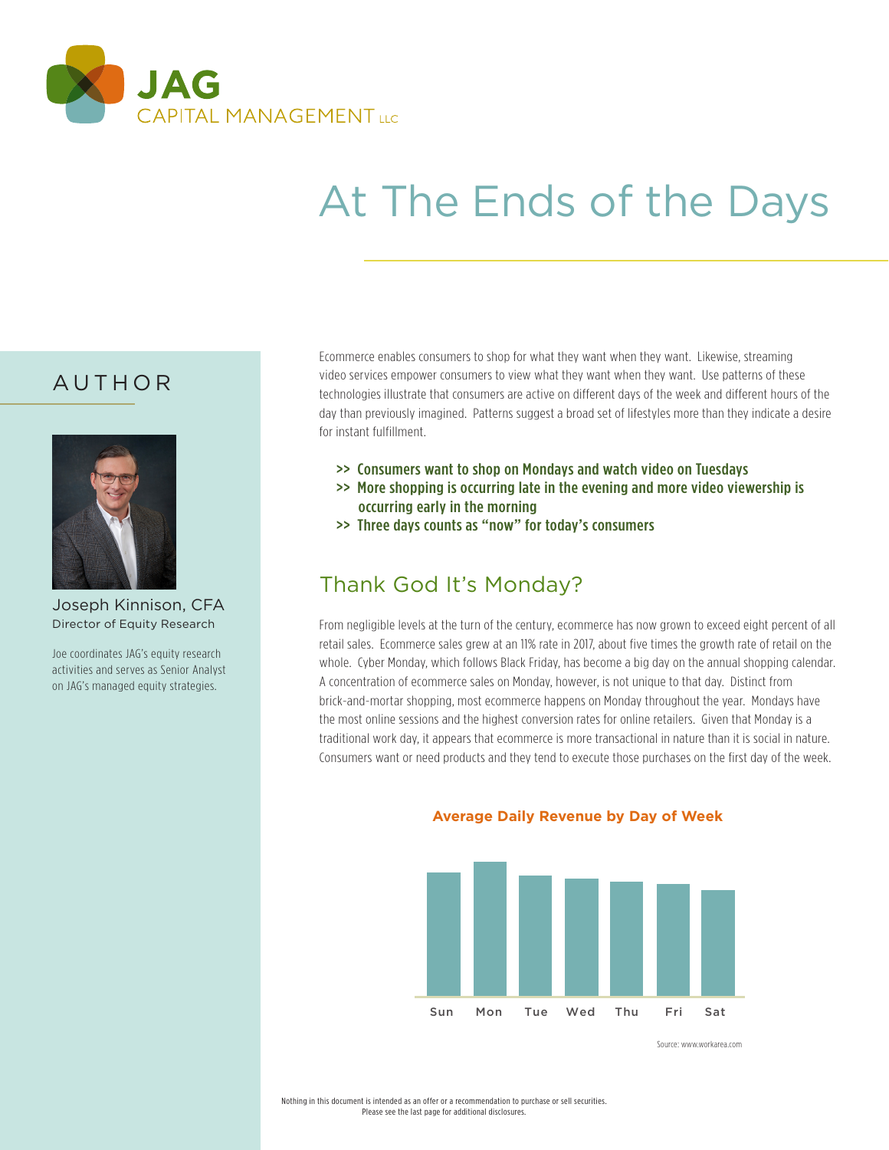

# At The Ends of the Days

## AUTHOR



Joseph Kinnison, CFA Director of Equity Research

Joe coordinates JAG's equity research activities and serves as Senior Analyst on JAG's managed equity strategies.

Ecommerce enables consumers to shop for what they want when they want. Likewise, streaming video services empower consumers to view what they want when they want. Use patterns of these technologies illustrate that consumers are active on different days of the week and different hours of the day than previously imagined. Patterns suggest a broad set of lifestyles more than they indicate a desire for instant fulfillment.

- >> Consumers want to shop on Mondays and watch video on Tuesdays
- >> More shopping is occurring late in the evening and more video viewership is occurring early in the morning
- >> Three days counts as "now" for today's consumers

## Thank God It's Monday?

From negligible levels at the turn of the century, ecommerce has now grown to exceed eight percent of all retail sales. Ecommerce sales grew at an 11% rate in 2017, about five times the growth rate of retail on the whole. Cyber Monday, which follows Black Friday, has become a big day on the annual shopping calendar. A concentration of ecommerce sales on Monday, however, is not unique to that day. Distinct from brick-and-mortar shopping, most ecommerce happens on Monday throughout the year. Mondays have the most online sessions and the highest conversion rates for online retailers. Given that Monday is a traditional work day, it appears that ecommerce is more transactional in nature than it is social in nature. Consumers want or need products and they tend to execute those purchases on the first day of the week.



#### **Average Daily Revenue by Day of Week**

Source: [www.workarea.com](http://www.workarea.com)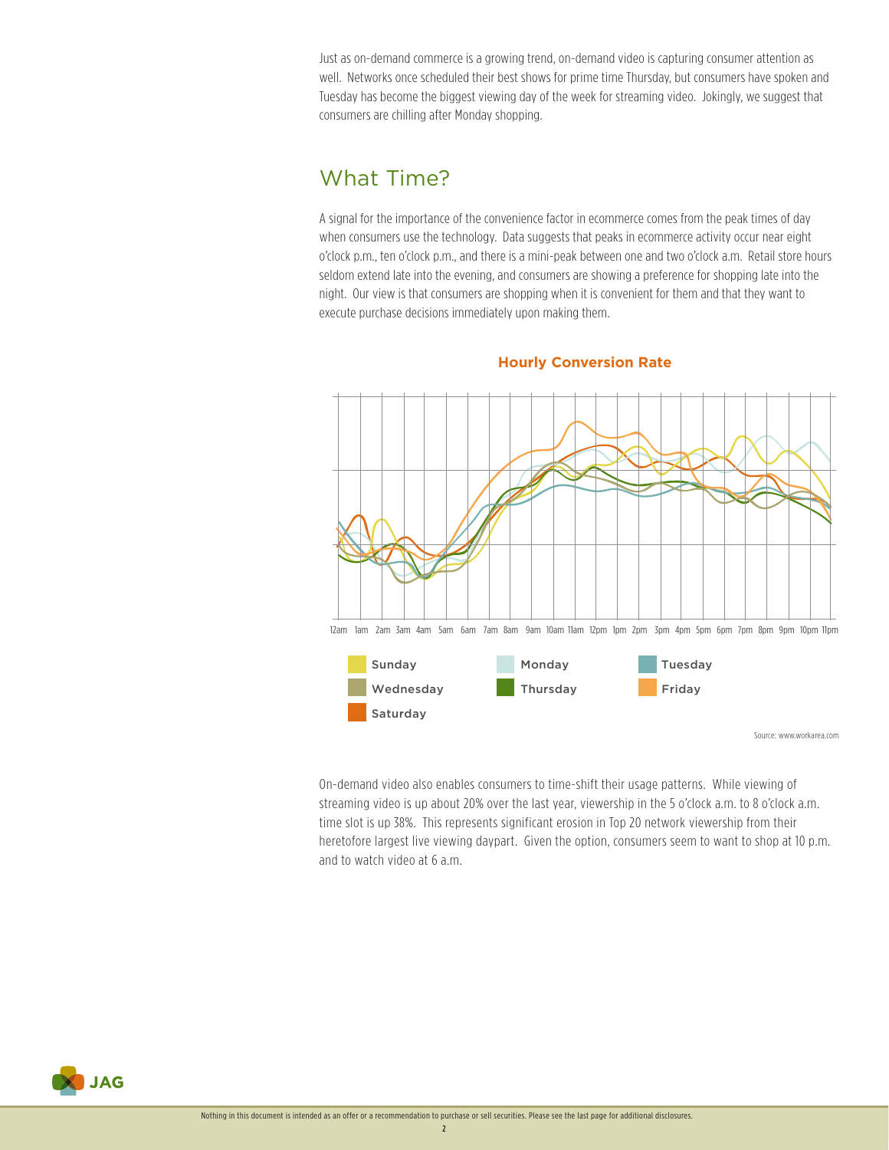Just as on-demand commerce is a growing trend, on-demand video is capturing consumer attention as well. Networks once scheduled their best shows for prime time Thursday, but consumers have spoken and Tuesday has become the biggest viewing day of the week for streaming video. Jokingly, we suggest that consumers are chilling after Monday shopping.

# What Time?

A signal for the importance of the convenience factor in ecommerce comes from the peak times of day when consumers use the technology. Data suggests that peaks in ecommerce activity occur near eight o'clock p.m., ten o'clock p.m., and there is a mini-peak between one and two o'clock a.m. Retail store hours seldom extend late into the evening, and consumers are showing a preference for shopping late into the night. Our view is that consumers are shopping when it is convenient for them and that they want to execute purchase decisions immediately upon making them.



#### **Hourly Conversion Rate**

On-demand video also enables consumers to time-shift their usage patterns. While viewing of streaming video is up about 20% over the last year, viewership in the 5 o'clock a.m. to 8 o'clock a.m. time slot is up 38%. This represents significant erosion in Top 20 network viewership from their heretofore largest live viewing daypart. Given the option, consumers seem to want to shop at 10 p.m. and to watch video at 6 a.m.



2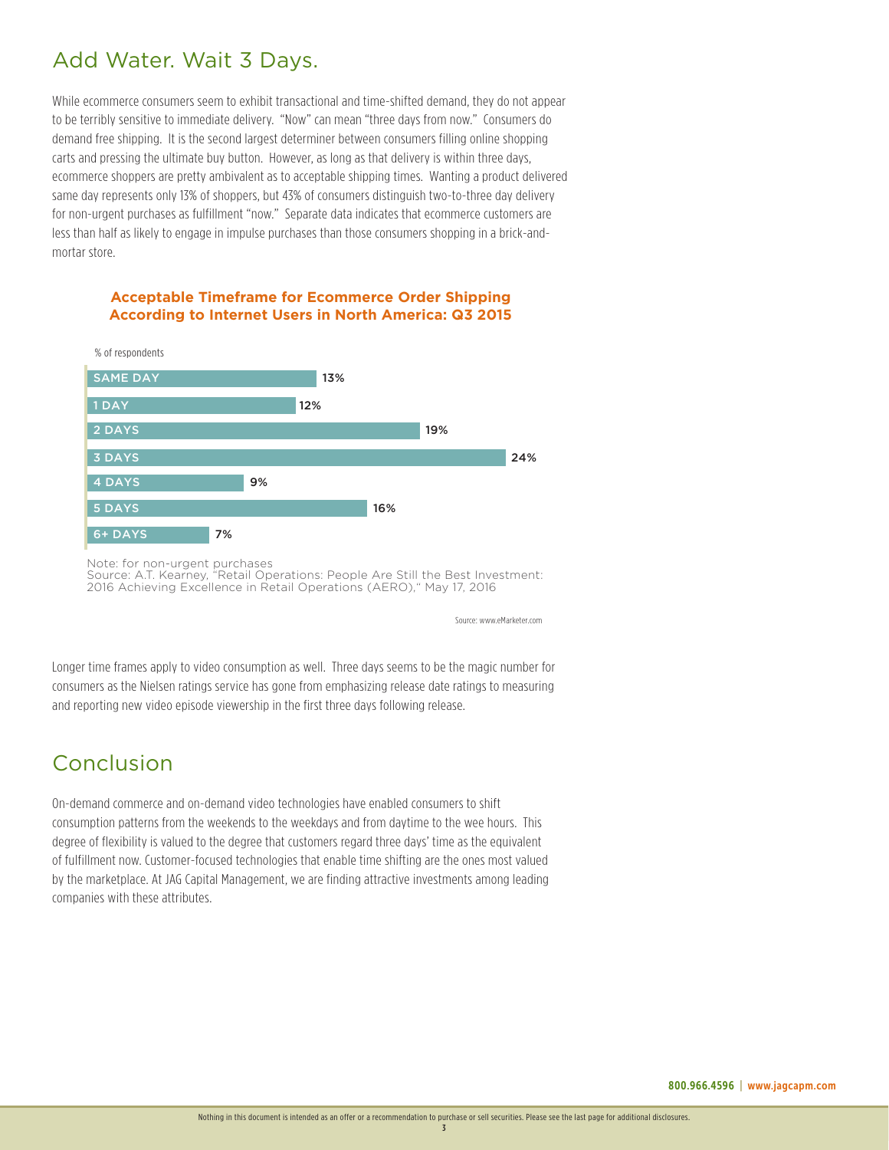# Add Water. Wait 3 Days.

While ecommerce consumers seem to exhibit transactional and time-shifted demand, they do not appear to be terribly sensitive to immediate delivery. "Now" can mean "three days from now." Consumers do demand free shipping. It is the second largest determiner between consumers filling online shopping carts and pressing the ultimate buy button. However, as long as that delivery is within three days, ecommerce shoppers are pretty ambivalent as to acceptable shipping times. Wanting a product delivered same day represents only 13% of shoppers, but 43% of consumers distinguish two-to-three day delivery for non-urgent purchases as fulfillment "now." Separate data indicates that ecommerce customers are less than half as likely to engage in impulse purchases than those consumers shopping in a brick-andmortar store.

#### **Acceptable Timeframe for Ecommerce Order Shipping According to Internet Users in North America: Q3 2015**



Note: for non-urgent purchases

Source: A.T. Kearney, "Retail Operations: People Are Still the Best Investment: 2016 Achieving Excellence in Retail Operations (AERO)," May 17, 2016

Source: [www.eMarketer.com](http://www.eMarketer.com)

Longer time frames apply to video consumption as well. Three days seems to be the magic number for consumers as the Nielsen ratings service has gone from emphasizing release date ratings to measuring and reporting new video episode viewership in the first three days following release.

## Conclusion

On-demand commerce and on-demand video technologies have enabled consumers to shift consumption patterns from the weekends to the weekdays and from daytime to the wee hours. This degree of flexibility is valued to the degree that customers regard three days' time as the equivalent of fulfillment now. Customer-focused technologies that enable time shifting are the ones most valued by the marketplace. At JAG Capital Management, we are finding attractive investments among leading companies with these attributes.